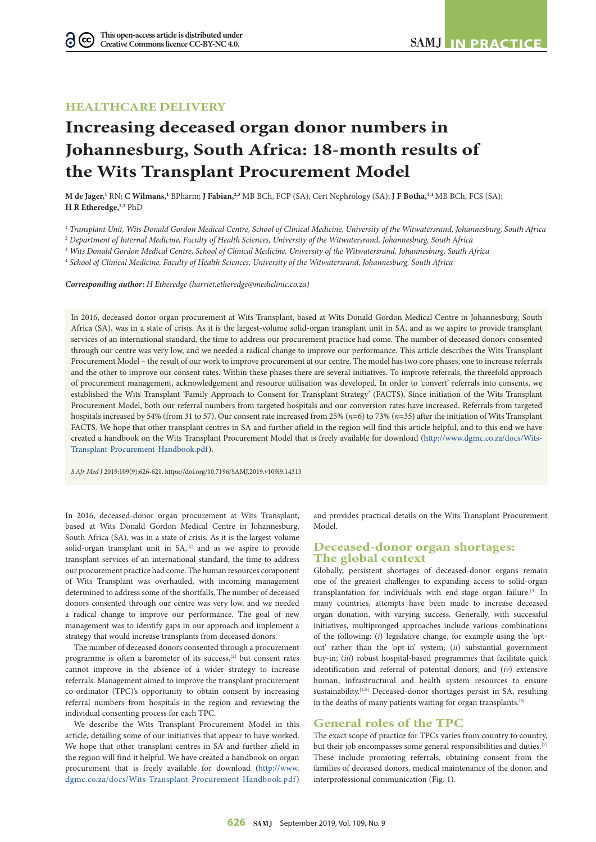# **HEALTHCARE DELIVERY**

# **Increasing deceased organ donor numbers in Johannesburg, South Africa: 18-month results of the Wits Transplant Procurement Model**

**M de Jager,1** RN; **C Wilmans,1** BPharm; **J Fabian,2,3** MB BCh, FCP (SA), Cert Nephrology (SA); **J F Botha,1,4** MB BCh, FCS (SA); **H R Etheredge,2,3** PhD

1  *Transplant Unit, Wits Donald Gordon Medical Centre, School of Clinical Medicine, University of the Witwatersrand, Johannesburg, South Africa*

2  *Department of Internal Medicine, Faculty of Health Sciences, University of the Witwatersrand, Johannesburg, South Africa*

3  *Wits Donald Gordon Medical Centre, School of Clinical Medicine, University of the Witwatersrand, Johannesburg, South Africa*

4  *School of Clinical Medicine, Faculty of Health Sciences, University of the Witwatersrand, Johannesburg, South Africa*

*Corresponding author: H Etheredge (harriet.etheredge@mediclinic.co.za)*

In 2016, deceased-donor organ procurement at Wits Transplant, based at Wits Donald Gordon Medical Centre in Johannesburg, South Africa (SA), was in a state of crisis. As it is the largest-volume solid-organ transplant unit in SA, and as we aspire to provide transplant services of an international standard, the time to address our procurement practice had come. The number of deceased donors consented through our centre was very low, and we needed a radical change to improve our performance. This article describes the Wits Transplant Procurement Model – the result of our work to improve procurement at our centre. The model has two core phases, one to increase referrals and the other to improve our consent rates. Within these phases there are several initiatives. To improve referrals, the threefold approach of procurement management, acknowledgement and resource utilisation was developed. In order to 'convert' referrals into consents, we established the Wits Transplant 'Family Approach to Consent for Transplant Strategy' (FACTS). Since initiation of the Wits Transplant Procurement Model, both our referral numbers from targeted hospitals and our conversion rates have increased. Referrals from targeted hospitals increased by 54% (from 31 to 57). Our consent rate increased from 25% (*n*=6) to 73% (*n*=35) after the initiation of Wits Transplant FACTS. We hope that other transplant centres in SA and further afield in the region will find this article helpful, and to this end we have created a handbook on the Wits Transplant Procurement Model that is freely available for download [\(http://www.dgmc.co.za/docs/Wits-](http://www.dgmc.co.za/docs/Wits-Transplant-Procurement-Handbook.pdf)[Transplant-Procurement-Handbook.pdf](http://www.dgmc.co.za/docs/Wits-Transplant-Procurement-Handbook.pdf)).

*S Afr Med J* 2019;109(9):626-621. https://doi.org/10.7196/SAMJ.2019.v109i9.14313

In 2016, deceased-donor organ procurement at Wits Transplant, based at Wits Donald Gordon Medical Centre in Johannesburg, South Africa (SA), was in a state of crisis. As it is the largest-volume solid-organ transplant unit in SA,<sup>[1]</sup> and as we aspire to provide transplant services of an international standard, the time to address our procurement practice had come. The human resources component of Wits Transplant was overhauled, with incoming management determined to address some of the shortfalls. The number of deceased donors consented through our centre was very low, and we needed a radical change to improve our performance. The goal of new management was to identify gaps in our approach and implement a strategy that would increase transplants from deceased donors.

The number of deceased donors consented through a procurement programme is often a barometer of its success,[2] but consent rates cannot improve in the absence of a wider strategy to increase referrals. Management aimed to improve the transplant procurement co-ordinator (TPC)'s opportunity to obtain consent by increasing referral numbers from hospitals in the region and reviewing the individual consenting process for each TPC.

We describe the Wits Transplant Procurement Model in this article, detailing some of our initiatives that appear to have worked. We hope that other transplant centres in SA and further afield in the region will find it helpful. We have created a handbook on organ procurement that is freely available for download [\(http://www.](http://www.dgmc.co.za/docs/Wits-Transplant-Procurement-Handbook.pdf) [dgmc.co.za/docs/Wits-Transplant-Procurement-Handbook.pdf](http://www.dgmc.co.za/docs/Wits-Transplant-Procurement-Handbook.pdf))

and provides practical details on the Wits Transplant Procurement Model.

# **Deceased-donor organ shortages: The global context**

Globally, persistent shortages of deceased-donor organs remain one of the greatest challenges to expanding access to solid-organ transplantation for individuals with end-stage organ failure.[3] In many countries, attempts have been made to increase deceased organ donation, with varying success. Generally, with successful initiatives, multipronged approaches include various combinations of the following: (*i*) legislative change, for example using the 'optout' rather than the 'opt-in' system; (*ii*) substantial government buy-in; (*iii*) robust hospital-based programmes that facilitate quick identification and referral of potential donors; and (*iv*) extensive human, infrastructural and health system resources to ensure sustainability.<sup>[4,5]</sup> Deceased-donor shortages persist in SA, resulting in the deaths of many patients waiting for organ transplants.<sup>[6]</sup>

# **General roles of the TPC**

The exact scope of practice for TPCs varies from country to country, but their job encompasses some general responsibilities and duties.[7] These include promoting referrals, obtaining consent from the families of deceased donors, medical maintenance of the donor, and interprofessional communication (Fig. 1).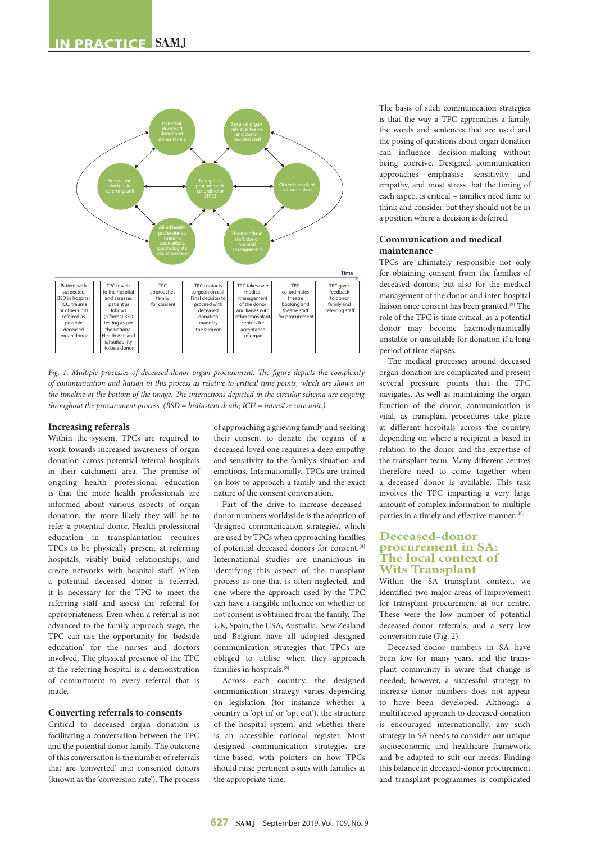

*Fig. 1. Multiple processes of deceased-donor organ procurement. The figure depicts the complexity of communication and liaison in this process as relative to critical time points, which are shown on the timeline at the bottom of the image. The interactions depicted in the circular schema are ongoing throughout the procurement process. (BSD = brainstem death; ICU = intensive care unit.)*

# **Increasing referrals**

Within the system, TPCs are required to work towards increased awareness of organ donation across potential referral hospitals in their catchment area. The premise of ongoing health professional education is that the more health professionals are informed about various aspects of organ donation, the more likely they will be to refer a potential donor. Health professional education in transplantation requires TPCs to be physically present at referring hospitals, visibly build relationships, and create networks with hospital staff. When a potential deceased donor is referred, it is necessary for the TPC to meet the referring staff and assess the referral for appropriateness. Even when a referral is not advanced to the family approach stage, the TPC can use the opportunity for 'bedside education' for the nurses and doctors involved. The physical presence of the TPC at the referring hospital is a demonstration of commitment to every referral that is made.

## **Converting referrals to consents**

Critical to deceased organ donation is facilitating a conversation between the TPC and the potential donor family. The outcome of this conversation is the number of referrals that are 'converted' into consented donors (known as the 'conversion rate'). The process of approaching a grieving family and seeking their consent to donate the organs of a deceased loved one requires a deep empathy and sensitivity to the family's situation and emotions. Internationally, TPCs are trained on how to approach a family and the exact nature of the consent conversation.

Part of the drive to increase deceaseddonor numbers worldwide is the adoption of 'designed communication strategies', which are used by TPCs when approaching families of potential deceased donors for consent.[8] International studies are unanimous in identifying this aspect of the transplant process as one that is often neglected, and one where the approach used by the TPC can have a tangible influence on whether or not consent is obtained from the family. The UK, Spain, the USA, Australia, New Zealand and Belgium have all adopted designed communication strategies that TPCs are obliged to utilise when they approach families in hospitals.<sup>[8]</sup>

Across each country, the designed communication strategy varies depending on legislation (for instance whether a country is 'opt in' or 'opt out'), the structure of the hospital system, and whether there is an accessible national register. Most designed communication strategies are time-based, with pointers on how TPCs should raise pertinent issues with families at the appropriate time.

The basis of such communication strategies is that the way a TPC approaches a family, the words and sentences that are used and the posing of questions about organ donation can influence decision-making without being coercive. Designed communication approaches emphasise sensitivity and empathy, and most stress that the timing of each aspect is critical – families need time to think and consider, but they should not be in a position where a decision is deferred.

# **Communication and medical maintenance**

TPCs are ultimately responsible not only for obtaining consent from the families of deceased donors, but also for the medical management of the donor and inter-hospital liaison once consent has been granted.[9] The role of the TPC is time critical, as a potential donor may become haemodynamically unstable or unsuitable for donation if a long period of time elapses.

The medical processes around deceased organ donation are complicated and present several pressure points that the TPC navigates. As well as maintaining the organ function of the donor, communication is vital, as transplant procedures take place at different hospitals across the country, depending on where a recipient is based in relation to the donor and the expertise of the transplant team. Many different centres therefore need to come together when a deceased donor is available. This task involves the TPC imparting a very large amount of complex information to multiple parties in a timely and effective manner.<sup>[10]</sup>

# **Deceased-donor procurement in SA: The local context of Wits Transplant**

Within the SA transplant context, we identified two major areas of improvement for transplant procurement at our centre. These were the low number of potential deceased-donor referrals, and a very low conversion rate (Fig. 2).

Deceased-donor numbers in SA have been low for many years, and the transplant community is aware that change is needed; however, a successful strategy to increase donor numbers does not appear to have been developed. Although a multifaceted approach to deceased donation is encouraged internationally, any such strategy in SA needs to consider our unique socioeconomic and healthcare framework and be adapted to suit our needs. Finding this balance in deceased-donor procurement and transplant programmes is complicated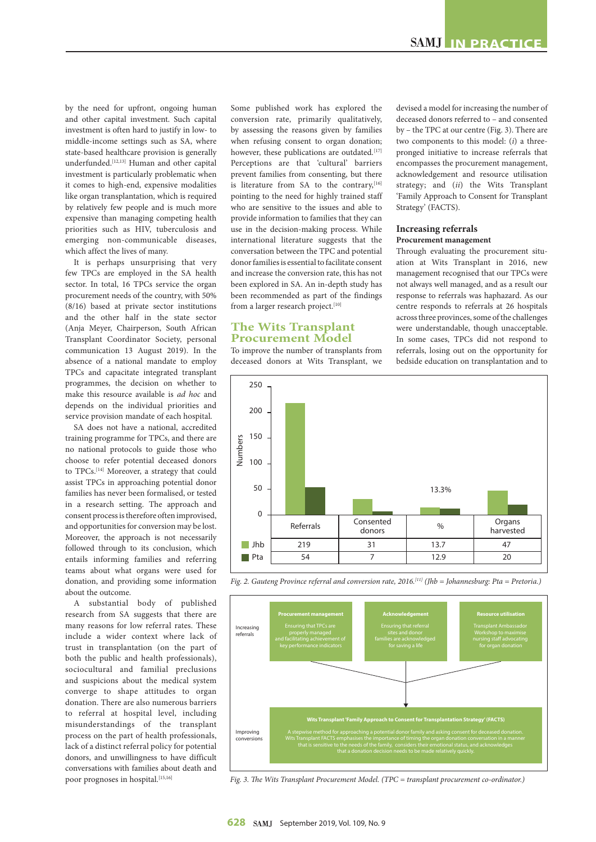devised a model for increasing the number of deceased donors referred to – and consented by – the TPC at our centre (Fig. 3). There are two components to this model: (*i*) a threepronged initiative to increase referrals that encompasses the procurement management, acknowledgement and resource utilisation strategy; and (*ii*) the Wits Transplant 'Family Approach to Consent for Transplant

Through evaluating the procurement situation at Wits Transplant in 2016, new management recognised that our TPCs were not always well managed, and as a result our response to referrals was haphazard. As our centre responds to referrals at 26 hospitals across three provinces, some of the challenges were understandable, though unacceptable. In some cases, TPCs did not respond to referrals, losing out on the opportunity for

Strategy' (FACTS).

**Increasing referrals Procurement management**

by the need for upfront, ongoing human and other capital investment. Such capital investment is often hard to justify in low- to middle-income settings such as SA, where state-based healthcare provision is generally underfunded.[12,13] Human and other capital investment is particularly problematic when it comes to high-end, expensive modalities like organ transplantation, which is required by relatively few people and is much more expensive than managing competing health priorities such as HIV, tuberculosis and emerging non-communicable diseases, which affect the lives of many.

It is perhaps unsurprising that very few TPCs are employed in the SA health sector. In total, 16 TPCs service the organ procurement needs of the country, with 50% (8/16) based at private sector institutions and the other half in the state sector (Anja Meyer, Chairperson, South African Transplant Coordinator Society, personal communication 13 August 2019). In the absence of a national mandate to employ TPCs and capacitate integrated transplant programmes, the decision on whether to make this resource available is *ad hoc* and depends on the individual priorities and service provision mandate of each hospital.

SA does not have a national, accredited training programme for TPCs, and there are no national protocols to guide those who choose to refer potential deceased donors to TPCs.<sup>[14]</sup> Moreover, a strategy that could assist TPCs in approaching potential donor families has never been formalised, or tested in a research setting. The approach and consent process is therefore often improvised, and opportunities for conversion may be lost. Moreover, the approach is not necessarily followed through to its conclusion, which entails informing families and referring teams about what organs were used for donation, and providing some information about the outcome.

A substantial body of published research from SA suggests that there are many reasons for low referral rates. These include a wider context where lack of trust in transplantation (on the part of both the public and health professionals), sociocultural and familial preclusions and suspicions about the medical system converge to shape attitudes to organ donation. There are also numerous barriers to referral at hospital level, including misunderstandings of the transplant process on the part of health professionals, lack of a distinct referral policy for potential donors, and unwillingness to have difficult conversations with families about death and poor prognoses in hospital.  $^{\left[15,16\right]}$ 

Some published work has explored the conversion rate, primarily qualitatively, by assessing the reasons given by families when refusing consent to organ donation; however, these publications are outdated.<sup>[17]</sup> Perceptions are that 'cultural' barriers prevent families from consenting, but there is literature from SA to the contrary,  $[16]$ pointing to the need for highly trained staff who are sensitive to the issues and able to provide information to families that they can use in the decision-making process. While international literature suggests that the conversation between the TPC and potential donor families is essential to facilitate consent and increase the conversion rate, this has not been explored in SA. An in-depth study has been recommended as part of the findings from a larger research project.<sup>[10]</sup>

# **The Wits Transplant Procurement Model**

To improve the number of transplants from deceased donors at Wits Transplant, we









*Fig. 3. The Wits Transplant Procurement Model. (TPC = transplant procurement co-ordinator.)*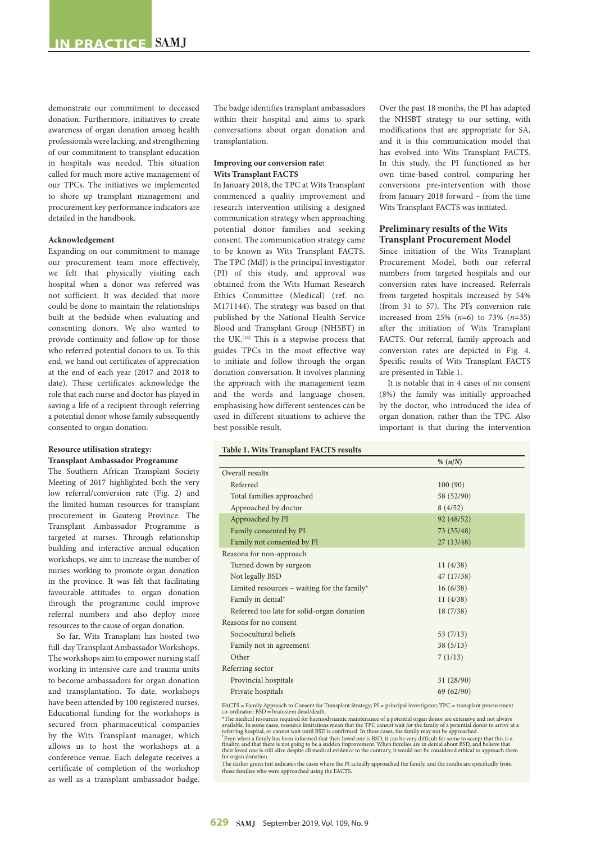demonstrate our commitment to deceased donation. Furthermore, initiatives to create awareness of organ donation among health professionals were lacking, and strengthening of our commitment to transplant education in hospitals was needed. This situation called for much more active management of our TPCs. The initiatives we implemented to shore up transplant management and procurement key performance indicators are detailed in the handbook.

#### **Acknowledgement**

Expanding on our commitment to manage our procurement team more effectively, we felt that physically visiting each hospital when a donor was referred was not sufficient. It was decided that more could be done to maintain the relationships built at the bedside when evaluating and consenting donors. We also wanted to provide continuity and follow-up for those who referred potential donors to us. To this end, we hand out certificates of appreciation at the end of each year (2017 and 2018 to date). These certificates acknowledge the role that each nurse and doctor has played in saving a life of a recipient through referring a potential donor whose family subsequently consented to organ donation.

# **Resource utilisation strategy: Transplant Ambassador Programme**

The Southern African Transplant Society Meeting of 2017 highlighted both the very low referral/conversion rate (Fig. 2) and the limited human resources for transplant procurement in Gauteng Province. The Transplant Ambassador Programme is targeted at nurses. Through relationship building and interactive annual education workshops, we aim to increase the number of nurses working to promote organ donation in the province. It was felt that facilitating favourable attitudes to organ donation through the programme could improve referral numbers and also deploy more resources to the cause of organ donation.

So far, Wits Transplant has hosted two full-day Transplant Ambassador Workshops. The workshops aim to empower nursing staff working in intensive care and trauma units to become ambassadors for organ donation and transplantation. To date, workshops have been attended by 100 registered nurses. Educational funding for the workshops is secured from pharmaceutical companies by the Wits Transplant manager, which allows us to host the workshops at a conference venue. Each delegate receives a certificate of completion of the workshop as well as a transplant ambassador badge. The badge identifies transplant ambassadors within their hospital and aims to spark conversations about organ donation and transplantation.

#### **Improving our conversion rate: Wits Transplant FACTS**

In January 2018, the TPC at Wits Transplant commenced a quality improvement and research intervention utilising a designed communication strategy when approaching potential donor families and seeking consent. The communication strategy came to be known as Wits Transplant FACTS. The TPC (MdJ) is the principal investigator (PI) of this study, and approval was obtained from the Wits Human Research Ethics Committee (Medical) (ref. no. M171144). The strategy was based on that published by the National Health Service Blood and Transplant Group (NHSBT) in the UK.[18] This is a stepwise process that guides TPCs in the most effective way to initiate and follow through the organ donation conversation. It involves planning the approach with the management team and the words and language chosen, emphasising how different sentences can be used in different situations to achieve the best possible result.

# **Table 1. Wits Transplant FACTS results**

Over the past 18 months, the PI has adapted the NHSBT strategy to our setting, with modifications that are appropriate for SA, and it is this communication model that has evolved into Wits Transplant FACTS. In this study, the PI functioned as her own time-based control, comparing her conversions pre-intervention with those from January 2018 forward – from the time Wits Transplant FACTS was initiated.

### **Preliminary results of the Wits Transplant Procurement Model**

Since initiation of the Wits Transplant Procurement Model, both our referral numbers from targeted hospitals and our conversion rates have increased. Referrals from targeted hospitals increased by 54% (from 31 to 57). The PI's conversion rate increased from 25% (*n*=6) to 73% (*n*=35) after the initiation of Wits Transplant FACTS. Our referral, family approach and conversion rates are depicted in Fig. 4. Specific results of Wits Transplant FACTS are presented in Table 1.

It is notable that in 4 cases of no consent (8%) the family was initially approached by the doctor, who introduced the idea of organ donation, rather than the TPC. Also important is that during the intervention

| Table 1. Wits Hansplant TACTS Results       |             |
|---------------------------------------------|-------------|
|                                             | % $(n/N)$   |
| Overall results                             |             |
| Referred                                    | 100(90)     |
| Total families approached                   | 58 (52/90)  |
| Approached by doctor                        | 8(4/52)     |
| Approached by PI                            | 92 (48/52)  |
| Family consented by PI                      | 73 (35/48)  |
| Family not consented by PI                  | 27(13/48)   |
| Reasons for non-approach                    |             |
| Turned down by surgeon                      | 11(4/38)    |
| Not legally BSD                             | 47(17/38)   |
| Limited resources – waiting for the family* | 16(6/38)    |
| Family in denial <sup>†</sup>               | 11(4/38)    |
| Referred too late for solid-organ donation  | 18(7/38)    |
| Reasons for no consent                      |             |
| Sociocultural beliefs                       | 53 $(7/13)$ |
| Family not in agreement                     | 38(5/13)    |
| Other                                       | 7(1/13)     |
| Referring sector                            |             |
| Provincial hospitals                        | 31 (28/90)  |
| Private hospitals                           | 69 (62/90)  |
|                                             |             |

FACTS = Family Approach to Consent for Transplant Strategy; PI = principal investigator; TPC = transplant procurement co-ordinator; BSD = brainstem dead/death.

\*The medical resources required for haemodynamic maintenance of a potential organ donor are extensive and not always available. In some cases, resource limitations mean that the TPC cannot wait for the family of a potential donor to arrive at a<br>referring hospital, or cannot wait until BSD is confirmed. In these cases, the family may not

† Even when a family has been informed that their loved one is BSD, it can be very difficult for some to accept that this is a finality, and that there is not going to be a sudden improvement. When families are in denial about BSD, and believe that<br>their loved one is still alive despite all medical evidence to the contrary, it would not be conside for organ donation

The darker green tint indicates the cases where the PI actually approached the family, and the results are specifically from those families who were approached using the FACTS.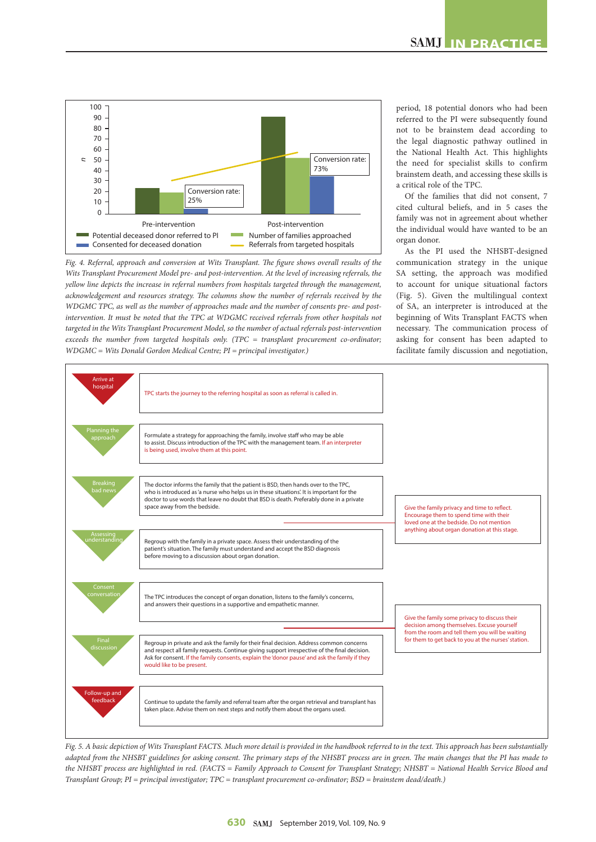

*Fig. 4. Referral, approach and conversion at Wits Transplant. The figure shows overall results of the Wits Transplant Procurement Model pre- and post-intervention. At the level of increasing referrals, the yellow line depicts the increase in referral numbers from hospitals targeted through the management, acknowledgement and resources strategy. The columns show the number of referrals received by the WDGMC TPC, as well as the number of approaches made and the number of consents pre- and post*intervention. It must be noted that the TPC at WDGMC received referrals from other hospitals not *targeted in the Wits Transplant Procurement Model, so the number of actual referrals post-intervention exceeds the number from targeted hospitals only. (TPC = transplant procurement co-ordinator; WDGMC = Wits Donald Gordon Medical Centre; PI = principal investigator.)*

period, 18 potential donors who had been referred to the PI were subsequently found not to be brainstem dead according to the legal diagnostic pathway outlined in the National Health Act. This highlights the need for specialist skills to confirm brainstem death, and accessing these skills is a critical role of the TPC.

Of the families that did not consent, 7 cited cultural beliefs, and in 5 cases the family was not in agreement about whether the individual would have wanted to be an organ donor.

As the PI used the NHSBT-designed communication strategy in the unique SA setting, the approach was modified to account for unique situational factors (Fig. 5). Given the multilingual context of SA, an interpreter is introduced at the beginning of Wits Transplant FACTS when necessary. The communication process of asking for consent has been adapted to facilitate family discussion and negotiation,



*Fig. 5. A basic depiction of Wits Transplant FACTS. Much more detail is provided in the handbook referred to in the text. This approach has been substantially adapted from the NHSBT guidelines for asking consent. The primary steps of the NHSBT process are in green. The main changes that the PI has made to the NHSBT process are highlighted in red. (FACTS = Family Approach to Consent for Transplant Strategy; NHSBT = National Health Service Blood and Transplant Group; PI = principal investigator; TPC = transplant procurement co-ordinator; BSD = brainstem dead/death.)*